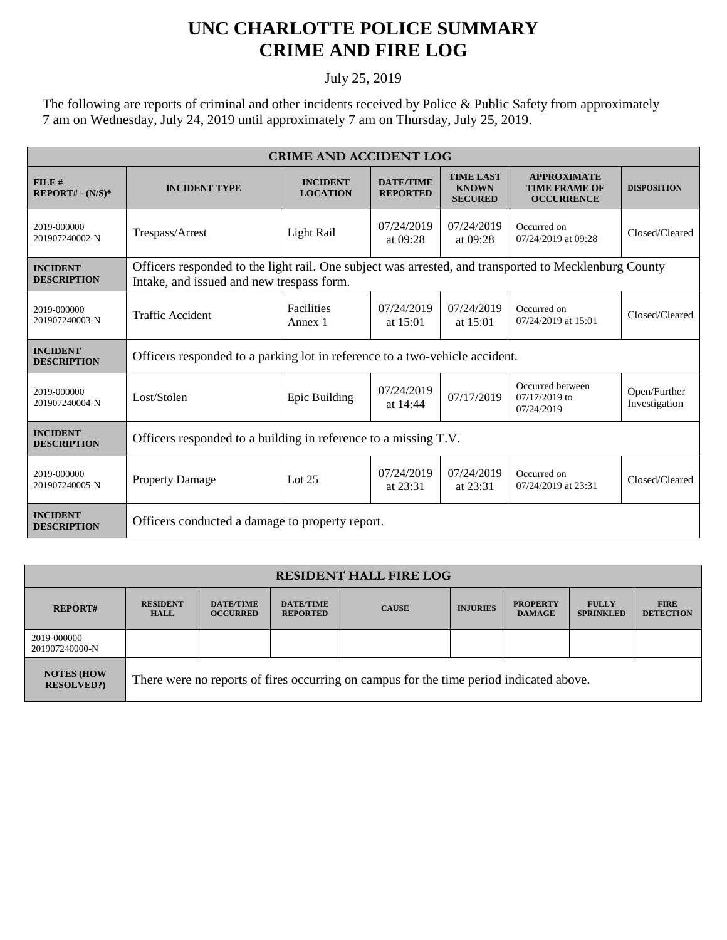## **UNC CHARLOTTE POLICE SUMMARY CRIME AND FIRE LOG**

## July 25, 2019

The following are reports of criminal and other incidents received by Police & Public Safety from approximately 7 am on Wednesday, July 24, 2019 until approximately 7 am on Thursday, July 25, 2019.

| <b>CRIME AND ACCIDENT LOG</b>         |                                                                                                                                                    |                                    |                                     |                                                    |                                                                 |                               |  |  |
|---------------------------------------|----------------------------------------------------------------------------------------------------------------------------------------------------|------------------------------------|-------------------------------------|----------------------------------------------------|-----------------------------------------------------------------|-------------------------------|--|--|
| FILE#<br>$REPORT# - (N/S)*$           | <b>INCIDENT TYPE</b>                                                                                                                               | <b>INCIDENT</b><br><b>LOCATION</b> | <b>DATE/TIME</b><br><b>REPORTED</b> | <b>TIME LAST</b><br><b>KNOWN</b><br><b>SECURED</b> | <b>APPROXIMATE</b><br><b>TIME FRAME OF</b><br><b>OCCURRENCE</b> | <b>DISPOSITION</b>            |  |  |
| 2019-000000<br>201907240002-N         | Trespass/Arrest                                                                                                                                    | Light Rail                         | 07/24/2019<br>at $09:28$            | 07/24/2019<br>at $09:28$                           | Occurred on<br>07/24/2019 at 09:28                              | Closed/Cleared                |  |  |
| <b>INCIDENT</b><br><b>DESCRIPTION</b> | Officers responded to the light rail. One subject was arrested, and transported to Mecklenburg County<br>Intake, and issued and new trespass form. |                                    |                                     |                                                    |                                                                 |                               |  |  |
| 2019-000000<br>201907240003-N         | <b>Traffic Accident</b>                                                                                                                            | <b>Facilities</b><br>Annex 1       | 07/24/2019<br>at $15:01$            | 07/24/2019<br>at $15:01$                           | Occurred on<br>07/24/2019 at 15:01                              | Closed/Cleared                |  |  |
| <b>INCIDENT</b><br><b>DESCRIPTION</b> | Officers responded to a parking lot in reference to a two-vehicle accident.                                                                        |                                    |                                     |                                                    |                                                                 |                               |  |  |
| 2019-000000<br>201907240004-N         | Lost/Stolen                                                                                                                                        | Epic Building                      | 07/24/2019<br>at 14:44              | 07/17/2019                                         | Occurred between<br>$07/17/2019$ to<br>07/24/2019               | Open/Further<br>Investigation |  |  |
| <b>INCIDENT</b><br><b>DESCRIPTION</b> | Officers responded to a building in reference to a missing T.V.                                                                                    |                                    |                                     |                                                    |                                                                 |                               |  |  |
| 2019-000000<br>201907240005-N         | <b>Property Damage</b>                                                                                                                             | Lot $25$                           | 07/24/2019<br>at $23:31$            | 07/24/2019<br>at 23:31                             | Occurred on<br>07/24/2019 at 23:31                              | Closed/Cleared                |  |  |
| <b>INCIDENT</b><br><b>DESCRIPTION</b> | Officers conducted a damage to property report.                                                                                                    |                                    |                                     |                                                    |                                                                 |                               |  |  |

| <b>RESIDENT HALL FIRE LOG</b>         |                                                                                         |                                     |                                     |              |                 |                                  |                                  |                                 |
|---------------------------------------|-----------------------------------------------------------------------------------------|-------------------------------------|-------------------------------------|--------------|-----------------|----------------------------------|----------------------------------|---------------------------------|
| <b>REPORT#</b>                        | <b>RESIDENT</b><br><b>HALL</b>                                                          | <b>DATE/TIME</b><br><b>OCCURRED</b> | <b>DATE/TIME</b><br><b>REPORTED</b> | <b>CAUSE</b> | <b>INJURIES</b> | <b>PROPERTY</b><br><b>DAMAGE</b> | <b>FULLY</b><br><b>SPRINKLED</b> | <b>FIRE</b><br><b>DETECTION</b> |
| 2019-000000<br>201907240000-N         |                                                                                         |                                     |                                     |              |                 |                                  |                                  |                                 |
| <b>NOTES (HOW</b><br><b>RESOLVED?</b> | There were no reports of fires occurring on campus for the time period indicated above. |                                     |                                     |              |                 |                                  |                                  |                                 |